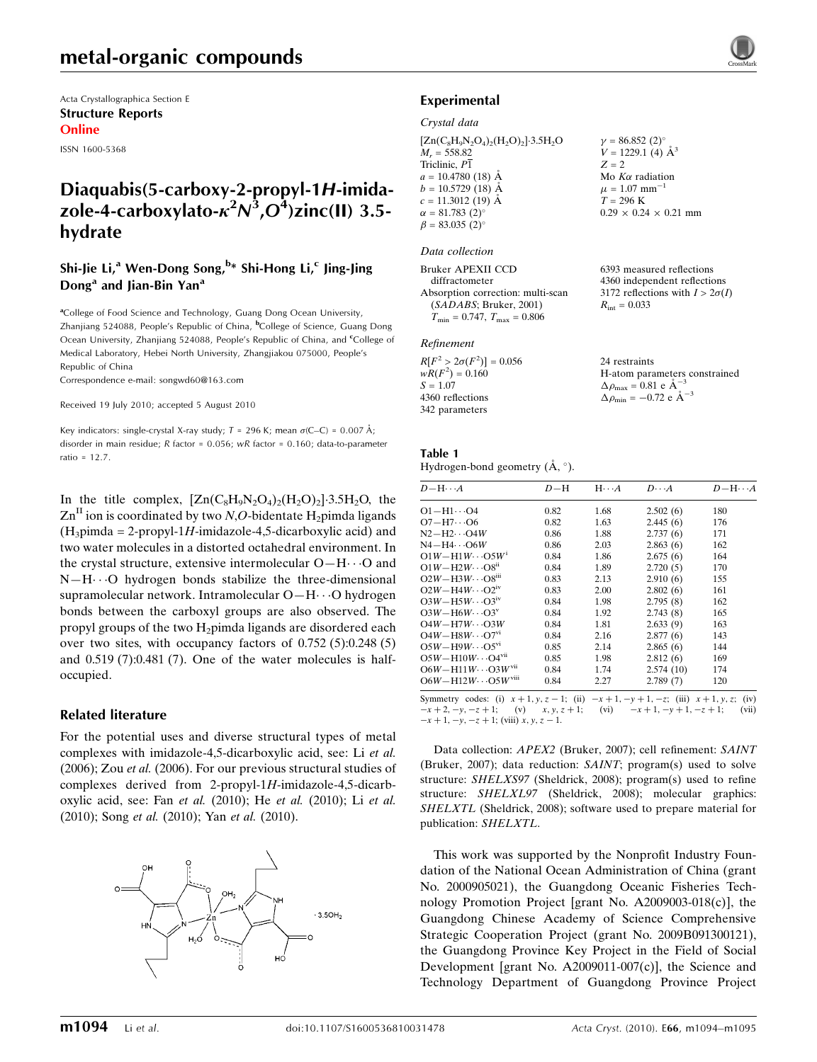# metal-organic compounds

Acta Crystallographica Section E Structure Reports Online

ISSN 1600-5368

## Diaquabis(5-carboxy-2-propyl-1H-imidazole-4-carboxylato- $\kappa^2 N^3$ , $O^4$ )zinc(II) 3.5hydrate

### Shi-Jie Li,<sup>a</sup> Wen-Dong Song,<sup>b</sup>\* Shi-Hong Li,<sup>c</sup> Jing-Jing Dong<sup>a</sup> and Jian-Bin Yan<sup>a</sup>

<sup>a</sup>College of Food Science and Technology, Guang Dong Ocean University, Zhanjiang 524088, People's Republic of China, <sup>b</sup>College of Science, Guang Dong Ocean University, Zhanjiang 524088, People's Republic of China, and <sup>c</sup>College of Medical Laboratory, Hebei North University, Zhangjiakou 075000, People's Republic of China

Correspondence e-mail: songwd60@163.com

#### Received 19 July 2010; accepted 5 August 2010

Key indicators: single-crystal X-ray study;  $T = 296$  K; mean  $\sigma$ (C–C) = 0.007 Å; disorder in main residue; R factor = 0.056; wR factor = 0.160; data-to-parameter ratio =  $12.7$ .

In the title complex,  $[Zn(C_8H_9N_2O_4)_2(H_2O)_2] \cdot 3.5H_2O$ , the  $\text{Zn}^{\text{II}}$  ion is coordinated by two N,O-bidentate H<sub>2</sub>pimda ligands  $(H<sub>3</sub>pimda = 2-propyl-1H-imidazole-4.5-dicarboxylic acid)$  and two water molecules in a distorted octahedral environment. In the crystal structure, extensive intermolecular  $O-H\cdots O$  and N-H $\cdots$ O hydrogen bonds stabilize the three-dimensional supramolecular network. Intramolecular O-H··· O hydrogen bonds between the carboxyl groups are also observed. The propyl groups of the two H2pimda ligands are disordered each over two sites, with occupancy factors of 0.752 (5):0.248 (5) and 0.519 (7):0.481 (7). One of the water molecules is halfoccupied.

#### Related literature

For the potential uses and diverse structural types of metal complexes with imidazole-4,5-dicarboxylic acid, see: Li et al. (2006); Zou et al. (2006). For our previous structural studies of complexes derived from 2-propyl-1H-imidazole-4,5-dicarboxylic acid, see: Fan et al. (2010); He et al. (2010); Li et al. (2010); Song et al. (2010); Yan et al. (2010).



#### Experimental

#### Crystal data

 $[Zn(C_8H_9N_2O_4)_2(H_2O)_2]$ -3.5H<sub>2</sub>O  $M_r = 558.82$ Triclinic, P1  $a = 10.4780(18)$  Å  $b = 10.5729(18)$  Å  $c = 11.3012$  (19) Å  $\alpha = 81.783(2)$ °  $\beta = 83.035$  (2)<sup>o</sup>

#### Data collection

| Bruker APEXII CCD                       | 6393 measured reflections              |
|-----------------------------------------|----------------------------------------|
| diffractometer                          | 4360 independent reflections           |
| Absorption correction: multi-scan       | 3172 reflections with $I > 2\sigma(I)$ |
| (SADABS; Bruker, 2001)                  | $R_{\text{int}} = 0.033$               |
| $T_{\min} = 0.747$ , $T_{\max} = 0.806$ |                                        |

#### Refinement

| $R[F^2 > 2\sigma(F^2)] = 0.056$ |
|---------------------------------|
| $wR(F^2) = 0.160$               |
| $S = 1.07$                      |
| 4360 reflections                |
| 342 parameters                  |
|                                 |

24 restraints H-atom parameters constrained  $\Delta \rho_{\text{max}} = 0.81 \text{ e A}^{-3}$  $\Delta \rho_{\text{min}} = -0.72 \text{ e } \text{\AA}^{-3}$ 

 $v = 86.852 (2)$ °  $V = 1229.1$  (4)  $\AA^3$ 

Mo  $K\alpha$  radiation  $\mu = 1.07$  mm<sup>-1</sup>  $T = 296$  K

 $0.29 \times 0.24 \times 0.21$  mm

 $Z = 2$ 

#### Table 1 Hydrogen-bond geometry  $(\mathring{A}, \degree)$ .

| $D - H \cdots A$                        | $D - H$ | $H\cdots A$ | $D\cdots A$ | $D - H \cdots A$ |
|-----------------------------------------|---------|-------------|-------------|------------------|
| $O1 - H1 \cdots O4$                     | 0.82    | 1.68        | 2.502(6)    | 180              |
| $O7 - H7 \cdots O6$                     | 0.82    | 1.63        | 2.445(6)    | 176              |
| $N2-H2\cdots O4W$                       | 0.86    | 1.88        | 2.737(6)    | 171              |
| $N4 - H4 \cdots 06W$                    | 0.86    | 2.03        | 2.863(6)    | 162              |
| $O1W - H1W \cdots O5W$                  | 0.84    | 1.86        | 2.675(6)    | 164              |
| $O1W - H2W \cdots O8n$                  | 0.84    | 1.89        | 2.720(5)    | 170              |
| $O2W - H3W \cdots O8$ <sup>iii</sup>    | 0.83    | 2.13        | 2.910(6)    | 155              |
| $O2W - H4W \cdots O2^W$                 | 0.83    | 2.00        | 2.802(6)    | 161              |
| $O3W - H5W \cdots O3^W$                 | 0.84    | 1.98        | 2.795(8)    | 162              |
| $O3W - H6W \cdots O3^v$                 | 0.84    | 1.92        | 2.743(8)    | 165              |
| $O4W - H7W \cdots O3W$                  | 0.84    | 1.81        | 2.633(9)    | 163              |
| $O4W - H8W \cdots O7^{v_1}$             | 0.84    | 2.16        | 2.877(6)    | 143              |
| $O5W - H9W \cdots O5^{vi}$              | 0.85    | 2.14        | 2.865(6)    | 144              |
| $O5W - H10W \cdots O4$ <sup>vii</sup>   | 0.85    | 1.98        | 2.812(6)    | 169              |
| $O6W - H11W \cdots O3W$ VII             | 0.84    | 1.74        | 2.574(10)   | 174              |
| $O6W - H12W \cdots O5W$ <sup>viii</sup> | 0.84    | 2.27        | 2.789(7)    | 120              |

 $(i)$   $x + 1, y, z$  $-x+2, -y, -z+1;$  (v)  $x, y, z+1;$  (vi)  $-x+1, -y+1, -z+1;$  (vii)  $-x + 1, -y, -z + 1$ ; (viii) x, y, z - 1.

Data collection: APEX2 (Bruker, 2007); cell refinement: SAINT (Bruker, 2007); data reduction: SAINT; program(s) used to solve structure: SHELXS97 (Sheldrick, 2008); program(s) used to refine structure: SHELXL97 (Sheldrick, 2008); molecular graphics: SHELXTL (Sheldrick, 2008); software used to prepare material for publication: SHELXTL.

This work was supported by the Nonprofit Industry Foundation of the National Ocean Administration of China (grant No. 2000905021), the Guangdong Oceanic Fisheries Technology Promotion Project [grant No. A2009003-018(c)], the Guangdong Chinese Academy of Science Comprehensive Strategic Cooperation Project (grant No. 2009B091300121), the Guangdong Province Key Project in the Field of Social Development [grant No. A2009011-007(c)], the Science and Technology Department of Guangdong Province Project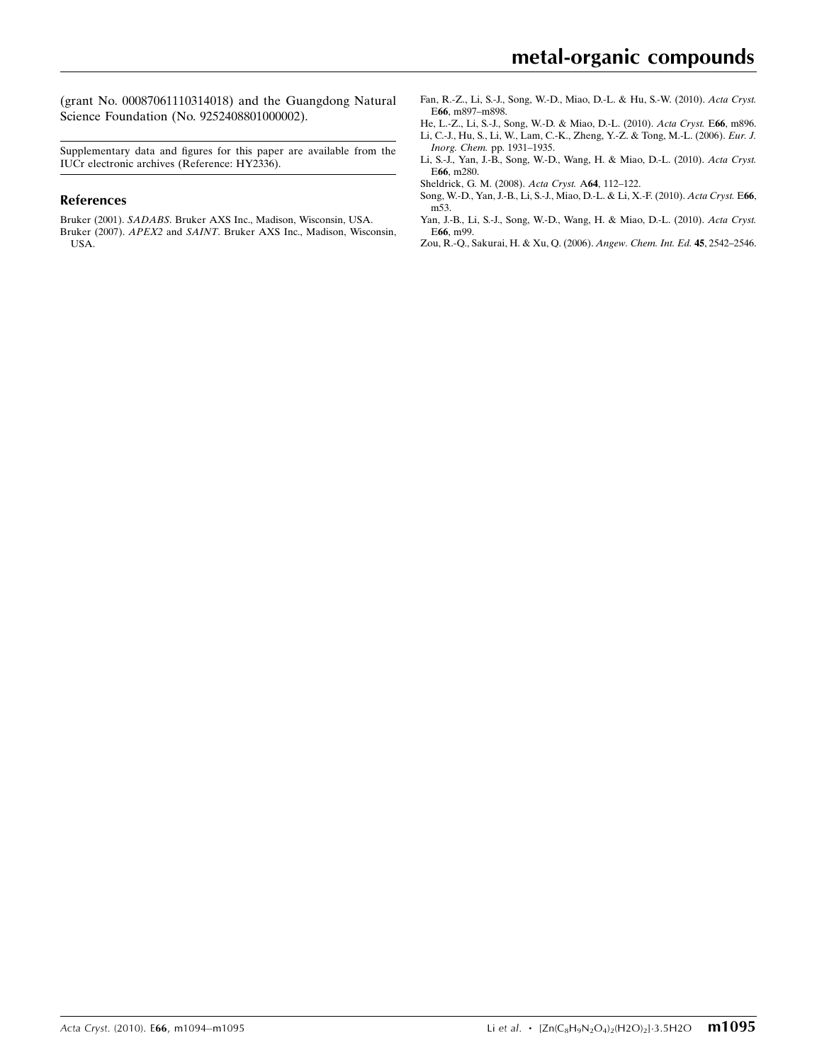(grant No. 00087061110314018) and the Guangdong Natural Science Foundation (No. 9252408801000002).

Supplementary data and figures for this paper are available from the IUCr electronic archives (Reference: HY2336).

#### References

Bruker (2001). SADABS[. Bruker AXS Inc., Madison, Wisconsin, USA.](https://scripts.iucr.org/cgi-bin/cr.cgi?rm=pdfbb&cnor=hy2336&bbid=BB1) Bruker (2007). APEX2 and SAINT[. Bruker AXS Inc., Madison, Wisconsin,](https://scripts.iucr.org/cgi-bin/cr.cgi?rm=pdfbb&cnor=hy2336&bbid=BB2) [USA.](https://scripts.iucr.org/cgi-bin/cr.cgi?rm=pdfbb&cnor=hy2336&bbid=BB2)

- [Fan, R.-Z., Li, S.-J., Song, W.-D., Miao, D.-L. & Hu, S.-W. \(2010\).](https://scripts.iucr.org/cgi-bin/cr.cgi?rm=pdfbb&cnor=hy2336&bbid=BB3) Acta Cryst. E66[, m897–m898.](https://scripts.iucr.org/cgi-bin/cr.cgi?rm=pdfbb&cnor=hy2336&bbid=BB3)
- [He, L.-Z., Li, S.-J., Song, W.-D. & Miao, D.-L. \(2010\).](https://scripts.iucr.org/cgi-bin/cr.cgi?rm=pdfbb&cnor=hy2336&bbid=BB4) Acta Cryst. E66, m896. [Li, C.-J., Hu, S., Li, W., Lam, C.-K., Zheng, Y.-Z. & Tong, M.-L. \(2006\).](https://scripts.iucr.org/cgi-bin/cr.cgi?rm=pdfbb&cnor=hy2336&bbid=BB5) Eur. J.
- Inorg. Chem. [pp. 1931–1935.](https://scripts.iucr.org/cgi-bin/cr.cgi?rm=pdfbb&cnor=hy2336&bbid=BB5)
- [Li, S.-J., Yan, J.-B., Song, W.-D., Wang, H. & Miao, D.-L. \(2010\).](https://scripts.iucr.org/cgi-bin/cr.cgi?rm=pdfbb&cnor=hy2336&bbid=BB6) Acta Cryst. E66[, m280.](https://scripts.iucr.org/cgi-bin/cr.cgi?rm=pdfbb&cnor=hy2336&bbid=BB6)
- [Sheldrick, G. M. \(2008\).](https://scripts.iucr.org/cgi-bin/cr.cgi?rm=pdfbb&cnor=hy2336&bbid=BB7) Acta Cryst. A64, 112–122.
- [Song, W.-D., Yan, J.-B., Li, S.-J., Miao, D.-L. & Li, X.-F. \(2010\).](https://scripts.iucr.org/cgi-bin/cr.cgi?rm=pdfbb&cnor=hy2336&bbid=BB8) Acta Cryst. E66, [m53.](https://scripts.iucr.org/cgi-bin/cr.cgi?rm=pdfbb&cnor=hy2336&bbid=BB8)
- [Yan, J.-B., Li, S.-J., Song, W.-D., Wang, H. & Miao, D.-L. \(2010\).](https://scripts.iucr.org/cgi-bin/cr.cgi?rm=pdfbb&cnor=hy2336&bbid=BB9) Acta Cryst. E66[, m99.](https://scripts.iucr.org/cgi-bin/cr.cgi?rm=pdfbb&cnor=hy2336&bbid=BB9)
- [Zou, R.-Q., Sakurai, H. & Xu, Q. \(2006\).](https://scripts.iucr.org/cgi-bin/cr.cgi?rm=pdfbb&cnor=hy2336&bbid=BB10) Angew. Chem. Int. Ed. 45, 2542–2546.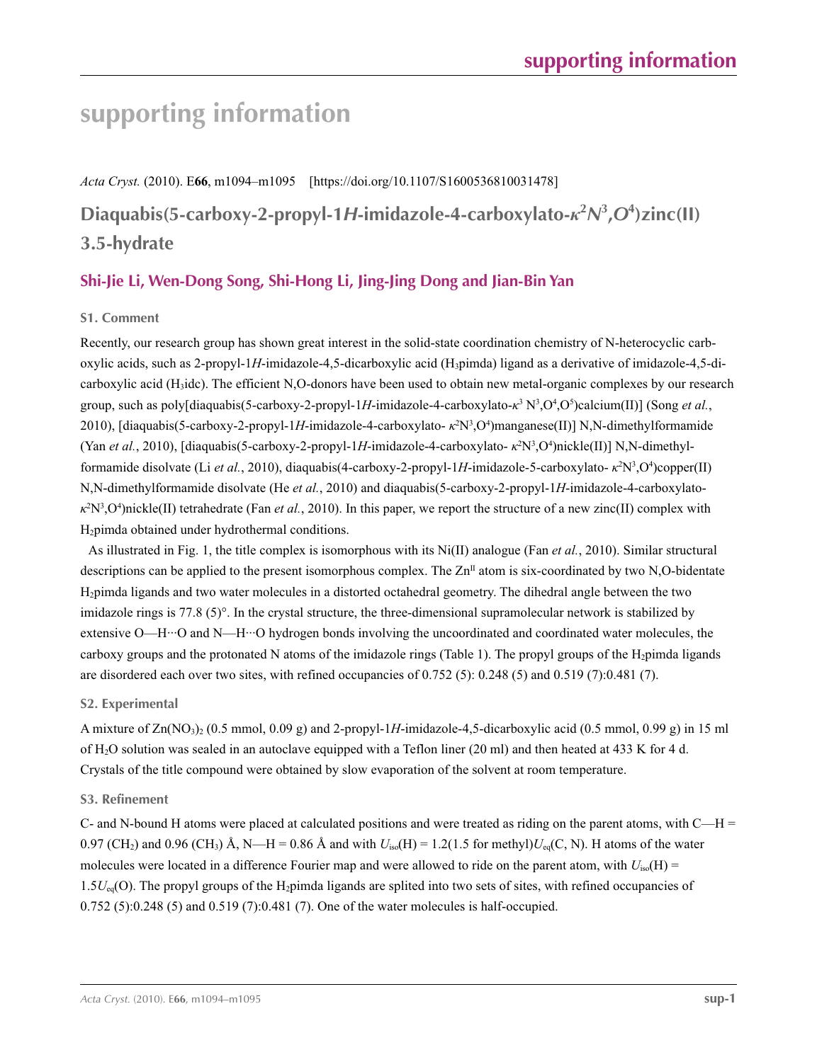# **supporting information**

*Acta Cryst.* (2010). E**66**, m1094–m1095 [https://doi.org/10.1107/S1600536810031478]

**Diaquabis(5-carboxy-2-propyl-1***H***-imidazole-4-carboxylato-***κ***<sup>2</sup>** *N***3 ,***O***<sup>4</sup> )zinc(II) 3.5-hydrate**

### **Shi-Jie Li, Wen-Dong Song, Shi-Hong Li, Jing-Jing Dong and Jian-Bin Yan**

#### **S1. Comment**

Recently, our research group has shown great interest in the solid-state coordination chemistry of N-heterocyclic carboxylic acids, such as 2-propyl-1*H*-imidazole-4,5-dicarboxylic acid (H3pimda) ligand as a derivative of imidazole-4,5-dicarboxylic acid (H3idc). The efficient N,O-donors have been used to obtain new metal-organic complexes by our research group, such as poly[diaquabis(5-carboxy-2-propyl-1*H*-imidazole-4-carboxylato- $\kappa^3 N^3 O^4 O^5$ )calcium(II)] (Song *et al.*, 2010), [diaquabis(5-carboxy-2-propyl-1*H*-imidazole-4-carboxylato- *κ*<sup>2</sup>N<sup>3</sup>,O<sup>4</sup>)manganese(II)] N,N-dimethylformamide (Yan *et al.*, 2010), [diaquabis(5-carboxy-2-propyl-1*H*-imidazole-4-carboxylato- *κ*<sup>2</sup>N<sup>3</sup>,O<sup>4</sup>)nickle(II)] N,N-dimethylformamide disolvate (Li *et al.*, 2010), diaquabis(4-carboxy-2-propyl-1H-imidazole-5-carboxylato- κ<sup>2</sup>N<sup>3</sup>,O<sup>4</sup>)copper(II) N,N-dimethylformamide disolvate (He *et al.*, 2010) and diaquabis(5-carboxy-2-propyl-1*H*-imidazole-4-carboxylato*κ*<sup>2</sup>N<sup>3</sup>,O<sup>4</sup>)nickle(II) tetrahedrate (Fan *et al.*, 2010). In this paper, we report the structure of a new zinc(II) complex with H<sub>2</sub>pimda obtained under hydrothermal conditions.

As illustrated in Fig. 1, the title complex is isomorphous with its Ni(II) analogue (Fan *et al.*, 2010). Similar structural descriptions can be applied to the present isomorphous complex. The  $Zn<sup>II</sup>$  atom is six-coordinated by two N,O-bidentate H2pimda ligands and two water molecules in a distorted octahedral geometry. The dihedral angle between the two imidazole rings is 77.8 (5)°. In the crystal structure, the three-dimensional supramolecular network is stabilized by extensive O—H···O and N—H···O hydrogen bonds involving the uncoordinated and coordinated water molecules, the carboxy groups and the protonated N atoms of the imidazole rings (Table 1). The propyl groups of the  $H_2$ pimda ligands are disordered each over two sites, with refined occupancies of 0.752 (5): 0.248 (5) and 0.519 (7):0.481 (7).

#### **S2. Experimental**

A mixture of  $\text{Zn}(\text{NO}_3)_{2}$  (0.5 mmol, 0.09 g) and 2-propyl-1H-imidazole-4,5-dicarboxylic acid (0.5 mmol, 0.99 g) in 15 ml of H2O solution was sealed in an autoclave equipped with a Teflon liner (20 ml) and then heated at 433 K for 4 d. Crystals of the title compound were obtained by slow evaporation of the solvent at room temperature.

#### **S3. Refinement**

C- and N-bound H atoms were placed at calculated positions and were treated as riding on the parent atoms, with  $C-H =$ 0.97 (CH<sub>2</sub>) and 0.96 (CH<sub>3</sub>) Å, N—H = 0.86 Å and with  $U_{iso}(H) = 1.2(1.5$  for methyl) $U_{eq}(C, N)$ . H atoms of the water molecules were located in a difference Fourier map and were allowed to ride on the parent atom, with  $U_{iso}(H)$  =  $1.5U_{eq}(O)$ . The propyl groups of the H<sub>2</sub>pimda ligands are splited into two sets of sites, with refined occupancies of 0.752 (5):0.248 (5) and 0.519 (7):0.481 (7). One of the water molecules is half-occupied.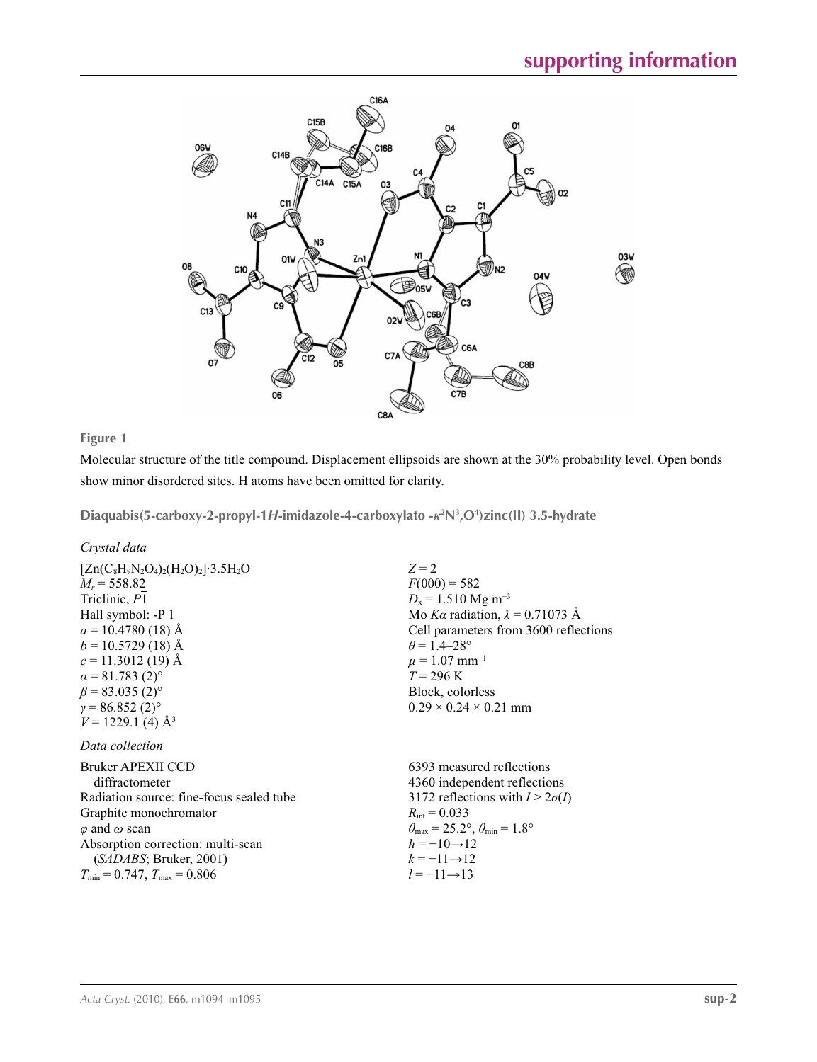

**Figure 1**

Molecular structure of the title compound. Displacement ellipsoids are shown at the 30% probability level. Open bonds show minor disordered sites. H atoms have been omitted for clarity.

**Diaquabis(5-carboxy-2-propyl-1***H***-imidazole-4-carboxylato -***κ***<sup>2</sup> N3 ,O4 )zinc(II) 3.5-hydrate** 

*Crystal data*

| $Z = 2$                                               |
|-------------------------------------------------------|
| $F(000) = 582$                                        |
| $D_x = 1.510$ Mg m <sup>-3</sup>                      |
| Mo Ka radiation, $\lambda = 0.71073$ Å                |
| Cell parameters from 3600 reflections                 |
| $\theta$ = 1.4–28°                                    |
| $\mu = 1.07$ mm <sup>-1</sup>                         |
| $T = 296 \text{ K}$                                   |
| Block, colorless                                      |
| $0.29 \times 0.24 \times 0.21$ mm                     |
|                                                       |
|                                                       |
| 6393 measured reflections                             |
| 4360 independent reflections                          |
| 3172 reflections with $I > 2\sigma(I)$                |
| $R_{\text{int}} = 0.033$                              |
| $\theta_{\rm max}$ = 25.2°, $\theta_{\rm min}$ = 1.8° |
| $h = -10 \rightarrow 12$                              |
| $k = -11 \rightarrow 12$                              |
| $l = -11 \rightarrow 13$                              |
|                                                       |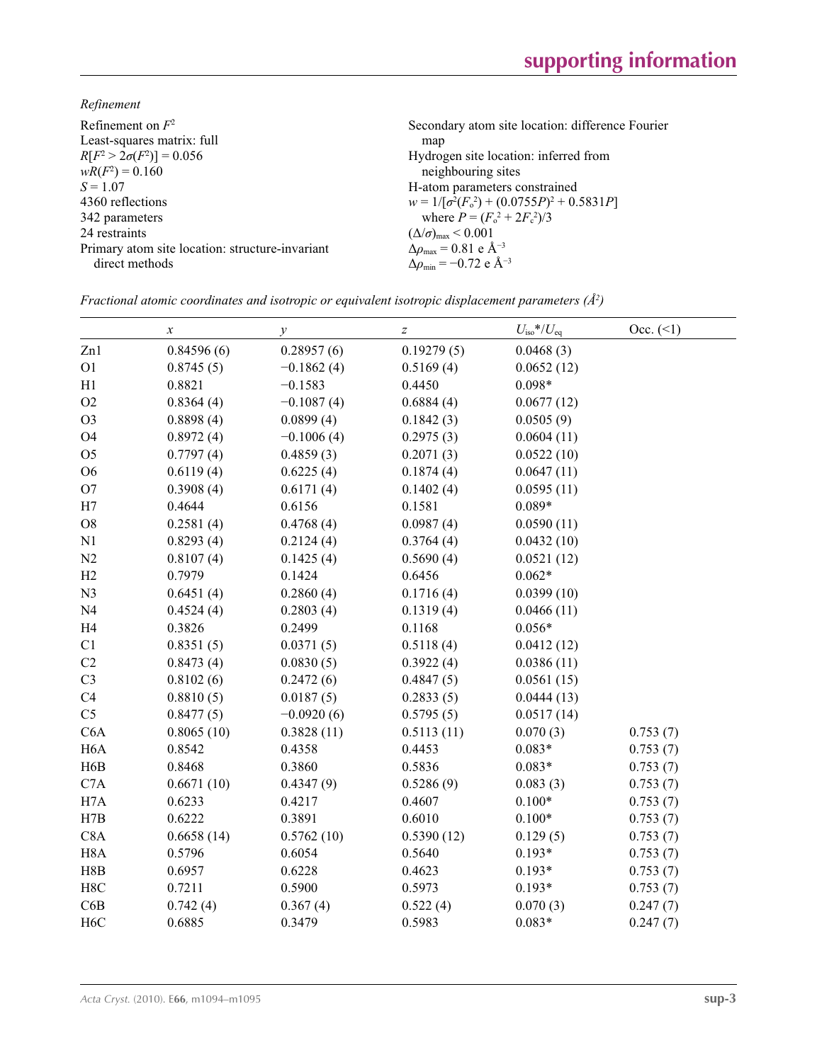*Refinement*

| Refinement on $F^2$<br>Least-squares matrix: full | Secondary atom site location: difference Fourier           |
|---------------------------------------------------|------------------------------------------------------------|
|                                                   | map                                                        |
| $R[F^2 > 2\sigma(F^2)] = 0.056$                   | Hydrogen site location: inferred from                      |
| $wR(F^2) = 0.160$                                 | neighbouring sites                                         |
| $S = 1.07$                                        | H-atom parameters constrained                              |
| 4360 reflections                                  | $w = 1/[\sigma^2(F_0^2) + (0.0755P)^2 + 0.5831P]$          |
| 342 parameters                                    | where $P = (F_o^2 + 2F_s^2)/3$                             |
| 24 restraints                                     | $(\Delta/\sigma)_{\text{max}}$ < 0.001                     |
| Primary atom site location: structure-invariant   | $\Delta\rho_{\text{max}} = 0.81$ e Å <sup>-3</sup>         |
| direct methods                                    | $\Delta \rho_{\rm min} = -0.72 \text{ e } \text{\AA}^{-3}$ |
|                                                   |                                                            |

|  |  | Fractional atomic coordinates and isotropic or equivalent isotropic displacement parameters ( $\AA^2$ ) |  |  |  |  |
|--|--|---------------------------------------------------------------------------------------------------------|--|--|--|--|
|--|--|---------------------------------------------------------------------------------------------------------|--|--|--|--|

|                  | $\boldsymbol{\chi}$ | $\mathcal{Y}$ | $\boldsymbol{Z}$ | $U_{\text{iso}}$ */ $U_{\text{eq}}$ | $Occ. ( \le 1)$ |
|------------------|---------------------|---------------|------------------|-------------------------------------|-----------------|
| Zn1              | 0.84596(6)          | 0.28957(6)    | 0.19279(5)       | 0.0468(3)                           |                 |
| O <sub>1</sub>   | 0.8745(5)           | $-0.1862(4)$  | 0.5169(4)        | 0.0652(12)                          |                 |
| H1               | 0.8821              | $-0.1583$     | 0.4450           | $0.098*$                            |                 |
| O2               | 0.8364(4)           | $-0.1087(4)$  | 0.6884(4)        | 0.0677(12)                          |                 |
| O <sub>3</sub>   | 0.8898(4)           | 0.0899(4)     | 0.1842(3)        | 0.0505(9)                           |                 |
| O <sub>4</sub>   | 0.8972(4)           | $-0.1006(4)$  | 0.2975(3)        | 0.0604(11)                          |                 |
| O <sub>5</sub>   | 0.7797(4)           | 0.4859(3)     | 0.2071(3)        | 0.0522(10)                          |                 |
| O <sub>6</sub>   | 0.6119(4)           | 0.6225(4)     | 0.1874(4)        | 0.0647(11)                          |                 |
| O <sub>7</sub>   | 0.3908(4)           | 0.6171(4)     | 0.1402(4)        | 0.0595(11)                          |                 |
| H7               | 0.4644              | 0.6156        | 0.1581           | $0.089*$                            |                 |
| O <sub>8</sub>   | 0.2581(4)           | 0.4768(4)     | 0.0987(4)        | 0.0590(11)                          |                 |
| N1               | 0.8293(4)           | 0.2124(4)     | 0.3764(4)        | 0.0432(10)                          |                 |
| N2               | 0.8107(4)           | 0.1425(4)     | 0.5690(4)        | 0.0521(12)                          |                 |
| H2               | 0.7979              | 0.1424        | 0.6456           | $0.062*$                            |                 |
| N <sub>3</sub>   | 0.6451(4)           | 0.2860(4)     | 0.1716(4)        | 0.0399(10)                          |                 |
| N <sub>4</sub>   | 0.4524(4)           | 0.2803(4)     | 0.1319(4)        | 0.0466(11)                          |                 |
| H <sub>4</sub>   | 0.3826              | 0.2499        | 0.1168           | $0.056*$                            |                 |
| C1               | 0.8351(5)           | 0.0371(5)     | 0.5118(4)        | 0.0412(12)                          |                 |
| C2               | 0.8473(4)           | 0.0830(5)     | 0.3922(4)        | 0.0386(11)                          |                 |
| C <sub>3</sub>   | 0.8102(6)           | 0.2472(6)     | 0.4847(5)        | 0.0561(15)                          |                 |
| C <sub>4</sub>   | 0.8810(5)           | 0.0187(5)     | 0.2833(5)        | 0.0444(13)                          |                 |
| C <sub>5</sub>   | 0.8477(5)           | $-0.0920(6)$  | 0.5795(5)        | 0.0517(14)                          |                 |
| C6A              | 0.8065(10)          | 0.3828(11)    | 0.5113(11)       | 0.070(3)                            | 0.753(7)        |
| H <sub>6</sub> A | 0.8542              | 0.4358        | 0.4453           | $0.083*$                            | 0.753(7)        |
| H <sub>6</sub> B | 0.8468              | 0.3860        | 0.5836           | $0.083*$                            | 0.753(7)        |
| C7A              | 0.6671(10)          | 0.4347(9)     | 0.5286(9)        | 0.083(3)                            | 0.753(7)        |
| H7A              | 0.6233              | 0.4217        | 0.4607           | $0.100*$                            | 0.753(7)        |
| H7B              | 0.6222              | 0.3891        | 0.6010           | $0.100*$                            | 0.753(7)        |
| C8A              | 0.6658(14)          | 0.5762(10)    | 0.5390(12)       | 0.129(5)                            | 0.753(7)        |
| H <sub>8</sub> A | 0.5796              | 0.6054        | 0.5640           | $0.193*$                            | 0.753(7)        |
| H8B              | 0.6957              | 0.6228        | 0.4623           | $0.193*$                            | 0.753(7)        |
| H8C              | 0.7211              | 0.5900        | 0.5973           | $0.193*$                            | 0.753(7)        |
| C6B              | 0.742(4)            | 0.367(4)      | 0.522(4)         | 0.070(3)                            | 0.247(7)        |
| H <sub>6</sub> C | 0.6885              | 0.3479        | 0.5983           | $0.083*$                            | 0.247(7)        |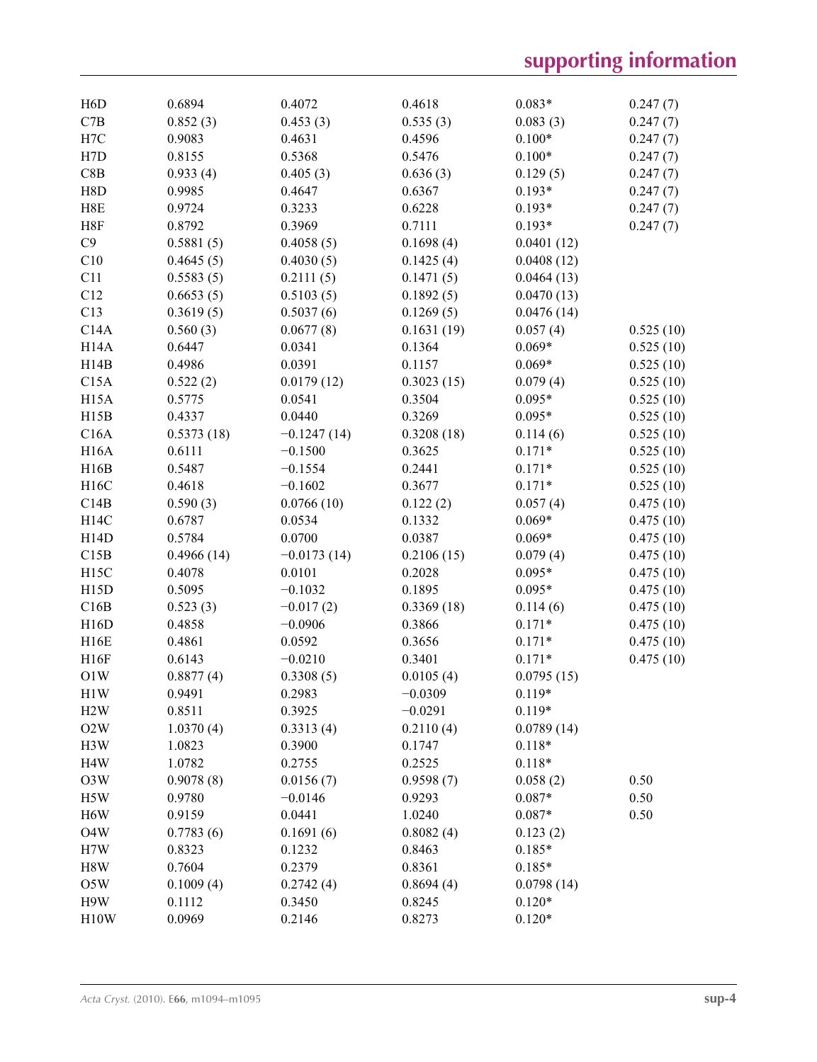| H <sub>6</sub> D  | 0.6894     | 0.4072        | 0.4618     | $0.083*$   | 0.247(7)  |
|-------------------|------------|---------------|------------|------------|-----------|
| C7B               | 0.852(3)   | 0.453(3)      | 0.535(3)   | 0.083(3)   | 0.247(7)  |
| H7C               | 0.9083     | 0.4631        | 0.4596     | $0.100*$   | 0.247(7)  |
| H7D               | 0.8155     | 0.5368        | 0.5476     | $0.100*$   | 0.247(7)  |
| C8B               | 0.933(4)   | 0.405(3)      | 0.636(3)   | 0.129(5)   | 0.247(7)  |
| H8D               | 0.9985     | 0.4647        | 0.6367     | $0.193*$   | 0.247(7)  |
| H8E               | 0.9724     | 0.3233        | 0.6228     | $0.193*$   | 0.247(7)  |
| H8F               | 0.8792     | 0.3969        | 0.7111     | $0.193*$   | 0.247(7)  |
| C9                | 0.5881(5)  | 0.4058(5)     | 0.1698(4)  | 0.0401(12) |           |
| C10               | 0.4645(5)  | 0.4030(5)     | 0.1425(4)  | 0.0408(12) |           |
| C11               | 0.5583(5)  | 0.2111(5)     | 0.1471(5)  | 0.0464(13) |           |
| C12               | 0.6653(5)  | 0.5103(5)     | 0.1892(5)  | 0.0470(13) |           |
| C13               | 0.3619(5)  | 0.5037(6)     | 0.1269(5)  | 0.0476(14) |           |
| C14A              | 0.560(3)   | 0.0677(8)     | 0.1631(19) | 0.057(4)   | 0.525(10) |
| H14A              | 0.6447     | 0.0341        | 0.1364     | $0.069*$   | 0.525(10) |
| H14B              | 0.4986     | 0.0391        | 0.1157     | $0.069*$   | 0.525(10) |
| C15A              | 0.522(2)   | 0.0179(12)    | 0.3023(15) | 0.079(4)   | 0.525(10) |
| H <sub>15</sub> A | 0.5775     | 0.0541        | 0.3504     | $0.095*$   | 0.525(10) |
| H15B              | 0.4337     | 0.0440        | 0.3269     | $0.095*$   | 0.525(10) |
| C16A              | 0.5373(18) | $-0.1247(14)$ | 0.3208(18) | 0.114(6)   | 0.525(10) |
| <b>H16A</b>       | 0.6111     | $-0.1500$     | 0.3625     | $0.171*$   | 0.525(10) |
| H16B              | 0.5487     | $-0.1554$     | 0.2441     | $0.171*$   | 0.525(10) |
| H16C              | 0.4618     | $-0.1602$     | 0.3677     | $0.171*$   | 0.525(10) |
| C14B              | 0.590(3)   | 0.0766(10)    | 0.122(2)   | 0.057(4)   | 0.475(10) |
| H14C              | 0.6787     | 0.0534        | 0.1332     | $0.069*$   | 0.475(10) |
| H14D              | 0.5784     | 0.0700        | 0.0387     | $0.069*$   | 0.475(10) |
| C15B              | 0.4966(14) | $-0.0173(14)$ | 0.2106(15) | 0.079(4)   | 0.475(10) |
| H15C              | 0.4078     | 0.0101        | 0.2028     | $0.095*$   | 0.475(10) |
| H15D              | 0.5095     | $-0.1032$     | 0.1895     | $0.095*$   | 0.475(10) |
| C16B              | 0.523(3)   | $-0.017(2)$   | 0.3369(18) | 0.114(6)   | 0.475(10) |
| H16D              | 0.4858     | $-0.0906$     | 0.3866     | $0.171*$   | 0.475(10) |
| H <sub>16</sub> E | 0.4861     | 0.0592        | 0.3656     | $0.171*$   | 0.475(10) |
| H16F              | 0.6143     | $-0.0210$     | 0.3401     | $0.171*$   | 0.475(10) |
| O1W               | 0.8877(4)  | 0.3308(5)     | 0.0105(4)  | 0.0795(15) |           |
| H <sub>1</sub> W  | 0.9491     | 0.2983        | $-0.0309$  | $0.119*$   |           |
| H2W               | 0.8511     | 0.3925        | $-0.0291$  | $0.119*$   |           |
| O2W               | 1.0370(4)  | 0.3313(4)     | 0.2110(4)  | 0.0789(14) |           |
| H3W               | 1.0823     | 0.3900        | 0.1747     | $0.118*$   |           |
| H <sub>4</sub> W  | 1.0782     | 0.2755        | 0.2525     | $0.118*$   |           |
| O3W               | 0.9078(8)  | 0.0156(7)     | 0.9598(7)  | 0.058(2)   | 0.50      |
| H5W               | 0.9780     | $-0.0146$     | 0.9293     | $0.087*$   | 0.50      |
| H <sub>6</sub> W  | 0.9159     | 0.0441        | 1.0240     | $0.087*$   | 0.50      |
| O <sub>4</sub> W  | 0.7783(6)  | 0.1691(6)     | 0.8082(4)  | 0.123(2)   |           |
| H7W               | 0.8323     | 0.1232        | 0.8463     | $0.185*$   |           |
| H8W               | 0.7604     | 0.2379        | 0.8361     | $0.185*$   |           |
| O5W               | 0.1009(4)  | 0.2742(4)     | 0.8694(4)  | 0.0798(14) |           |
| H9W               | 0.1112     | 0.3450        | 0.8245     | $0.120*$   |           |
| H10W              | 0.0969     | 0.2146        | 0.8273     | $0.120*$   |           |
|                   |            |               |            |            |           |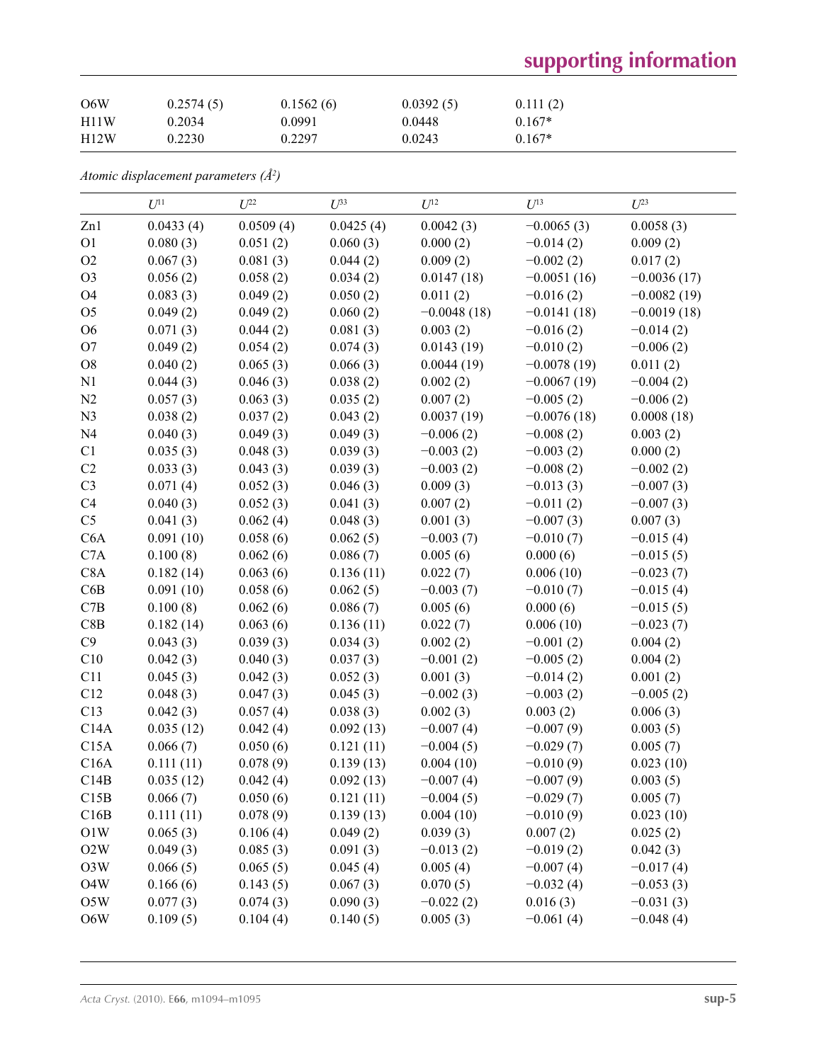# **supporting information**

| O6W  | 0.2574(5) | 0.1562(6) | 0.0392(5) | 0.111(2) |
|------|-----------|-----------|-----------|----------|
| H11W | 0.2034    | 0.0991    | 0.0448    | $0.167*$ |
| H12W | 0.2230    | 0.2297    | 0.0243    | $0.167*$ |

*Atomic displacement parameters (Å2 )*

|                  | $U^{11}$  | $U^{22}$  | $U^{33}$  | $U^{12}$      | $U^{13}$      | $U^{23}$      |
|------------------|-----------|-----------|-----------|---------------|---------------|---------------|
| Zn1              | 0.0433(4) | 0.0509(4) | 0.0425(4) | 0.0042(3)     | $-0.0065(3)$  | 0.0058(3)     |
| O <sub>1</sub>   | 0.080(3)  | 0.051(2)  | 0.060(3)  | 0.000(2)      | $-0.014(2)$   | 0.009(2)      |
| O2               | 0.067(3)  | 0.081(3)  | 0.044(2)  | 0.009(2)      | $-0.002(2)$   | 0.017(2)      |
| O <sub>3</sub>   | 0.056(2)  | 0.058(2)  | 0.034(2)  | 0.0147(18)    | $-0.0051(16)$ | $-0.0036(17)$ |
| O4               | 0.083(3)  | 0.049(2)  | 0.050(2)  | 0.011(2)      | $-0.016(2)$   | $-0.0082(19)$ |
| O <sub>5</sub>   | 0.049(2)  | 0.049(2)  | 0.060(2)  | $-0.0048(18)$ | $-0.0141(18)$ | $-0.0019(18)$ |
| O <sub>6</sub>   | 0.071(3)  | 0.044(2)  | 0.081(3)  | 0.003(2)      | $-0.016(2)$   | $-0.014(2)$   |
| O <sub>7</sub>   | 0.049(2)  | 0.054(2)  | 0.074(3)  | 0.0143(19)    | $-0.010(2)$   | $-0.006(2)$   |
| ${\rm O}8$       | 0.040(2)  | 0.065(3)  | 0.066(3)  | 0.0044(19)    | $-0.0078(19)$ | 0.011(2)      |
| N <sub>1</sub>   | 0.044(3)  | 0.046(3)  | 0.038(2)  | 0.002(2)      | $-0.0067(19)$ | $-0.004(2)$   |
| N2               | 0.057(3)  | 0.063(3)  | 0.035(2)  | 0.007(2)      | $-0.005(2)$   | $-0.006(2)$   |
| N <sub>3</sub>   | 0.038(2)  | 0.037(2)  | 0.043(2)  | 0.0037(19)    | $-0.0076(18)$ | 0.0008(18)    |
| N <sub>4</sub>   | 0.040(3)  | 0.049(3)  | 0.049(3)  | $-0.006(2)$   | $-0.008(2)$   | 0.003(2)      |
| C1               | 0.035(3)  | 0.048(3)  | 0.039(3)  | $-0.003(2)$   | $-0.003(2)$   | 0.000(2)      |
| C2               | 0.033(3)  | 0.043(3)  | 0.039(3)  | $-0.003(2)$   | $-0.008(2)$   | $-0.002(2)$   |
| C <sub>3</sub>   | 0.071(4)  | 0.052(3)  | 0.046(3)  | 0.009(3)      | $-0.013(3)$   | $-0.007(3)$   |
| C4               | 0.040(3)  | 0.052(3)  | 0.041(3)  | 0.007(2)      | $-0.011(2)$   | $-0.007(3)$   |
| C <sub>5</sub>   | 0.041(3)  | 0.062(4)  | 0.048(3)  | 0.001(3)      | $-0.007(3)$   | 0.007(3)      |
| C6A              | 0.091(10) | 0.058(6)  | 0.062(5)  | $-0.003(7)$   | $-0.010(7)$   | $-0.015(4)$   |
| C7A              | 0.100(8)  | 0.062(6)  | 0.086(7)  | 0.005(6)      | 0.000(6)      | $-0.015(5)$   |
| C8A              | 0.182(14) | 0.063(6)  | 0.136(11) | 0.022(7)      | 0.006(10)     | $-0.023(7)$   |
| C6B              | 0.091(10) | 0.058(6)  | 0.062(5)  | $-0.003(7)$   | $-0.010(7)$   | $-0.015(4)$   |
| C7B              | 0.100(8)  | 0.062(6)  | 0.086(7)  | 0.005(6)      | 0.000(6)      | $-0.015(5)$   |
| C8B              | 0.182(14) | 0.063(6)  | 0.136(11) | 0.022(7)      | 0.006(10)     | $-0.023(7)$   |
| C9               | 0.043(3)  | 0.039(3)  | 0.034(3)  | 0.002(2)      | $-0.001(2)$   | 0.004(2)      |
| C10              | 0.042(3)  | 0.040(3)  | 0.037(3)  | $-0.001(2)$   | $-0.005(2)$   | 0.004(2)      |
| C11              | 0.045(3)  | 0.042(3)  | 0.052(3)  | 0.001(3)      | $-0.014(2)$   | 0.001(2)      |
| C12              | 0.048(3)  | 0.047(3)  | 0.045(3)  | $-0.002(3)$   | $-0.003(2)$   | $-0.005(2)$   |
| C13              | 0.042(3)  | 0.057(4)  | 0.038(3)  | 0.002(3)      | 0.003(2)      | 0.006(3)      |
| C14A             | 0.035(12) | 0.042(4)  | 0.092(13) | $-0.007(4)$   | $-0.007(9)$   | 0.003(5)      |
| C15A             | 0.066(7)  | 0.050(6)  | 0.121(11) | $-0.004(5)$   | $-0.029(7)$   | 0.005(7)      |
| C16A             | 0.111(11) | 0.078(9)  | 0.139(13) | 0.004(10)     | $-0.010(9)$   | 0.023(10)     |
| C14B             | 0.035(12) | 0.042(4)  | 0.092(13) | $-0.007(4)$   | $-0.007(9)$   | 0.003(5)      |
| C15B             | 0.066(7)  | 0.050(6)  | 0.121(11) | $-0.004(5)$   | $-0.029(7)$   | 0.005(7)      |
| C16B             | 0.111(11) | 0.078(9)  | 0.139(13) | 0.004(10)     | $-0.010(9)$   | 0.023(10)     |
| O1W              | 0.065(3)  | 0.106(4)  | 0.049(2)  | 0.039(3)      | 0.007(2)      | 0.025(2)      |
| O2W              | 0.049(3)  | 0.085(3)  | 0.091(3)  | $-0.013(2)$   | $-0.019(2)$   | 0.042(3)      |
| O3W              | 0.066(5)  | 0.065(5)  | 0.045(4)  | 0.005(4)      | $-0.007(4)$   | $-0.017(4)$   |
| O <sub>4</sub> W | 0.166(6)  | 0.143(5)  | 0.067(3)  | 0.070(5)      | $-0.032(4)$   | $-0.053(3)$   |
| O5W              | 0.077(3)  | 0.074(3)  | 0.090(3)  | $-0.022(2)$   | 0.016(3)      | $-0.031(3)$   |
| O6W              | 0.109(5)  | 0.104(4)  | 0.140(5)  | 0.005(3)      | $-0.061(4)$   | $-0.048(4)$   |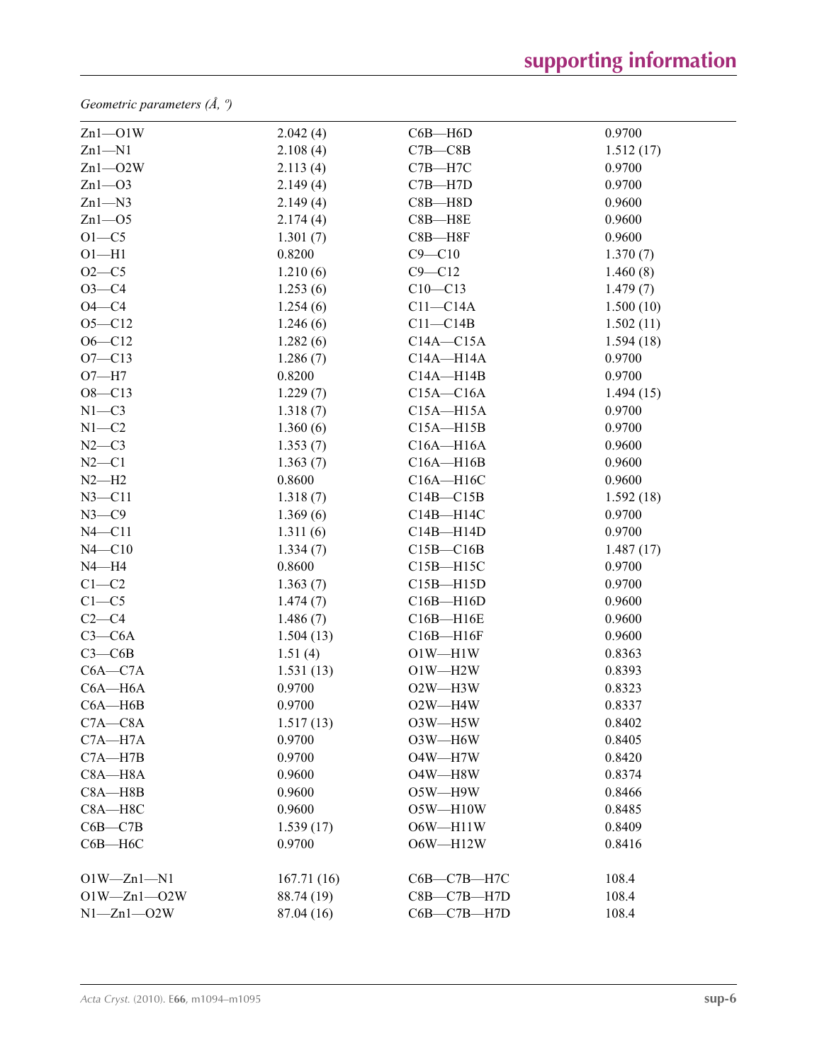*Geometric parameters (Å, º)*

| $Zn1 - O1W$       | 2.042(4)   | $C6B - H6D$       | 0.9700    |
|-------------------|------------|-------------------|-----------|
| $Zn1 - N1$        | 2.108(4)   | $C7B - C8B$       | 1.512(17) |
| $Zn1 - O2W$       | 2.113(4)   | $C7B - H7C$       | 0.9700    |
| $Zn1 - O3$        | 2.149(4)   | $C7B - H7D$       | 0.9700    |
| $Zn1 - N3$        | 2.149(4)   | $C8B - H8D$       | 0.9600    |
| $Zn1 - O5$        | 2.174(4)   | $C8B - H8E$       | 0.9600    |
| $O1-C5$           | 1.301(7)   | $C8B - H8F$       | 0.9600    |
| $O1 - H1$         | 0.8200     | $C9 - C10$        | 1.370(7)  |
| $O2 - C5$         | 1.210(6)   | $C9 - C12$        | 1.460(8)  |
| $O3 - C4$         | 1.253(6)   | $C10 - C13$       | 1.479(7)  |
| $O4 - C4$         | 1.254(6)   | $C11-C14A$        | 1.500(10) |
| $O5 - C12$        | 1.246(6)   | $C11 - C14B$      | 1.502(11) |
| $O6 - C12$        | 1.282(6)   | $C14A - C15A$     | 1.594(18) |
| $O7 - C13$        | 1.286(7)   | $C14A - H14A$     | 0.9700    |
| $O7 - H7$         | 0.8200     | $C14A - H14B$     | 0.9700    |
| $O8 - C13$        | 1.229(7)   | $C15A - C16A$     | 1.494(15) |
| $N1 - C3$         | 1.318(7)   | $C15A - H15A$     | 0.9700    |
| $N1 - C2$         | 1.360(6)   | $C15A - H15B$     | 0.9700    |
| $N2-C3$           | 1.353(7)   | $C16A - H16A$     | 0.9600    |
| $N2 - C1$         | 1.363(7)   | $C16A - H16B$     | 0.9600    |
| $N2-H2$           | 0.8600     | $C16A - H16C$     | 0.9600    |
| $N3 - C11$        | 1.318(7)   | $C14B - C15B$     | 1.592(18) |
| $N3 - C9$         | 1.369(6)   | $C14B - H14C$     | 0.9700    |
| $N4 - C11$        | 1.311(6)   | $C14B - H14D$     | 0.9700    |
| $N4 - C10$        | 1.334(7)   | $C15B - C16B$     | 1.487(17) |
| $N4 - H4$         | 0.8600     | $C15B - H15C$     | 0.9700    |
| $C1-C2$           | 1.363(7)   | $C15B - H15D$     | 0.9700    |
| $C1 - C5$         | 1.474(7)   | $C16B - H16D$     | 0.9600    |
| $C2-C4$           | 1.486(7)   | $C16B - H16E$     | 0.9600    |
| $C3-C6A$          | 1.504(13)  | $C16B - H16F$     | 0.9600    |
| $C3-C6B$          | 1.51(4)    | $O1W - H1W$       | 0.8363    |
| $C6A - C7A$       | 1.531(13)  | $O1W - H2W$       | 0.8393    |
| $C6A - H6A$       | 0.9700     | O2W-H3W           | 0.8323    |
| $C6A - H6B$       | 0.9700     | O2W-H4W           | 0.8337    |
| $C7A - C8A$       | 1.517(13)  | O3W-H5W           | 0.8402    |
| $C7A - H7A$       | 0.9700     | O3W-H6W           | 0.8405    |
| $C7A - H7B$       | 0.9700     | O4W-H7W           | 0.8420    |
| $C8A - H8A$       | 0.9600     | O4W-H8W           | 0.8374    |
| $C8A - H8B$       | 0.9600     | O5W-H9W           | 0.8466    |
| $C8A - H8C$       | 0.9600     | $O5W - H10W$      | 0.8485    |
| $C6B - C7B$       | 1.539(17)  | $O6W - H11W$      | 0.8409    |
| $C6B - H6C$       | 0.9700     | $O6W - H12W$      | 0.8416    |
| $O1W - Zn1 - N1$  | 167.71(16) | С6В-С7В-Н7С       | 108.4     |
| $O1W - Zn1 - O2W$ | 88.74 (19) | $C8B - C7B - H7D$ | 108.4     |
| $N1 - Zn1 - O2W$  | 87.04 (16) | $C6B - C7B - H7D$ | 108.4     |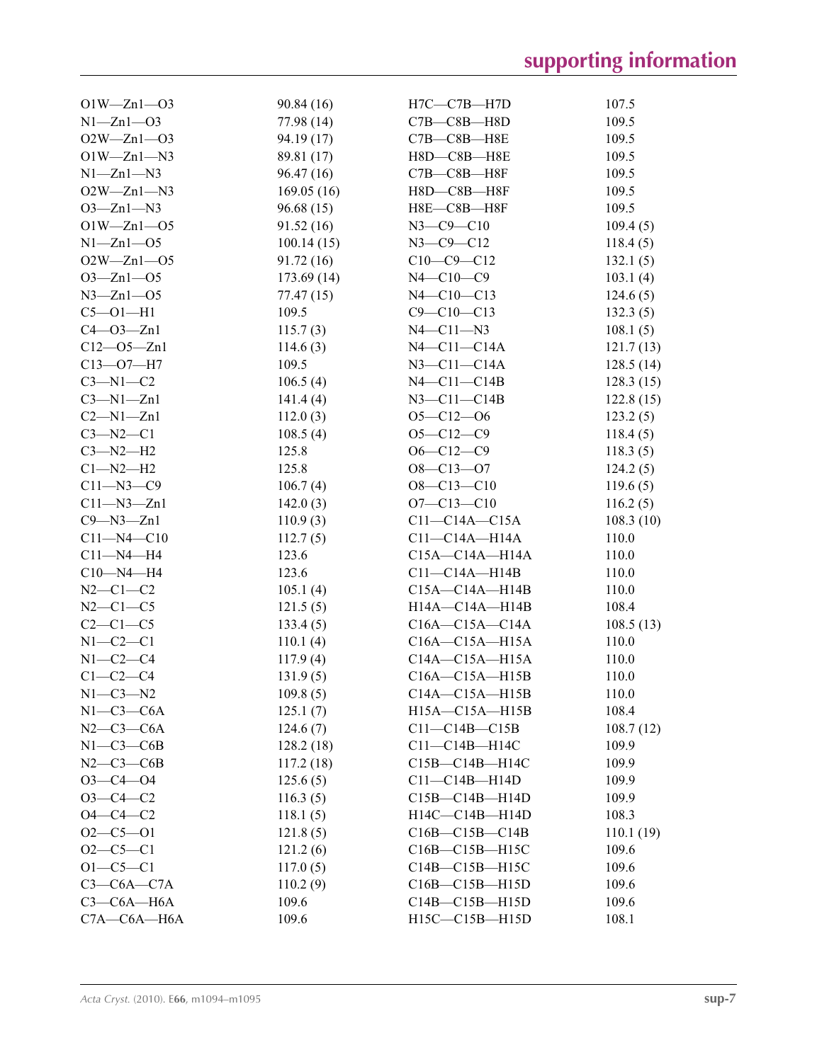| $O1W - Zn1 - O3$  | 90.84 (16) | $H7C-C7B-H7D$         | 107.5     |
|-------------------|------------|-----------------------|-----------|
| $N1 - Zn1 - O3$   | 77.98 (14) | $C7B - C8B - H8D$     | 109.5     |
| $O2W - Zn1 - O3$  | 94.19 (17) | $C7B - C8B - H8E$     | 109.5     |
| $O1W - Zn1 - N3$  | 89.81 (17) | H8D-C8B-H8E           | 109.5     |
| $N1 - Zn1 - N3$   | 96.47(16)  | $C7B - C8B - H8F$     | 109.5     |
| $O2W - Zn1 - N3$  | 169.05(16) | H8D-C8B-H8F           | 109.5     |
| $O3 - Zn1 - N3$   | 96.68(15)  | H8E-C8B-H8F           | 109.5     |
| $O1W - Zn1 - O5$  | 91.52(16)  | $N3$ — $C9$ — $C10$   | 109.4(5)  |
| $N1 - Zn1 - 05$   | 100.14(15) | $N3 - C9 - C12$       | 118.4(5)  |
| $O2W - Zn1 - O5$  | 91.72 (16) | $C10-C9-C12$          | 132.1(5)  |
| $O3 - Zn1 - O5$   | 173.69(14) | $N4 - C10 - C9$       | 103.1(4)  |
| $N3 - Zn1 - 05$   | 77.47 (15) | $N4 - C10 - C13$      | 124.6(5)  |
| $C5 - O1 - H1$    | 109.5      | $C9 - C10 - C13$      | 132.3(5)  |
| $C4 - O3 - Zn1$   | 115.7(3)   | $N4 - C11 - N3$       | 108.1(5)  |
| $C12 - 05 - Zn1$  | 114.6(3)   | $N4$ — $C11$ — $C14A$ | 121.7(13) |
| $C13 - O7 - H7$   | 109.5      | $N3$ — $C11$ — $C14A$ | 128.5(14) |
| $C3-M1-C2$        | 106.5(4)   | $N4$ - $C11$ - $C14B$ | 128.3(15) |
| $C3-M1-Zn1$       | 141.4(4)   | $N3-C11-C14B$         | 122.8(15) |
| $C2-M1-Zn1$       | 112.0(3)   | $O5 - C12 - O6$       | 123.2(5)  |
| $C3 - N2 - C1$    | 108.5(4)   | $O5 - C12 - C9$       | 118.4(5)  |
| $C3-M2-H2$        | 125.8      | $O6 - C12 - C9$       | 118.3(5)  |
| $Cl-M2-H2$        | 125.8      | $O8 - C13 - O7$       | 124.2(5)  |
| $C11 - N3 - C9$   | 106.7(4)   | $O8 - C13 - C10$      | 119.6(5)  |
| $C11 - N3 - Zn1$  | 142.0(3)   | $O7 - C13 - C10$      | 116.2(5)  |
| $C9 - N3 - Zn1$   | 110.9(3)   | $C11-C14A-C15A$       | 108.3(10) |
| $C11 - N4 - C10$  | 112.7(5)   | $C11-C14A-H14A$       | 110.0     |
| $C11 - N4 - H4$   | 123.6      | $C15A - C14A - H14A$  | 110.0     |
| $C10 - N4 - H4$   | 123.6      | $C11-C14A-H14B$       | 110.0     |
| $N2 - C1 - C2$    | 105.1(4)   | $C15A - C14A - H14B$  | 110.0     |
| $N2-C1-C5$        | 121.5(5)   | H14A-C14A-H14B        | 108.4     |
| $C2-C1-C5$        | 133.4(5)   | $C16A - C15A - C14A$  | 108.5(13) |
| $N1-C2-C1$        | 110.1(4)   | $C16A - C15A - H15A$  | 110.0     |
| $N1-C2-C4$        | 117.9(4)   | $C14A - C15A - H15A$  | 110.0     |
| $C1-C2-C4$        | 131.9(5)   | $C16A - C15A - H15B$  | 110.0     |
| $N1-C3-N2$        | 109.8(5)   | $C14A - C15A - H15B$  | 110.0     |
| $N1-C3-C6A$       | 125.1(7)   | H15A-C15A-H15B        | 108.4     |
| $N2-C3-C6A$       | 124.6(7)   | $C11-C14B-C15B$       | 108.7(12) |
| $N1-C3-C6B$       | 128.2(18)  | $C11-C14B-H14C$       | 109.9     |
| $N2-C3-C6B$       | 117.2(18)  | $C15B - C14B - H14C$  | 109.9     |
| $O3 - C4 - O4$    | 125.6(5)   | $C11-C14B-H14D$       | 109.9     |
| $O3 - C4 - C2$    | 116.3(5)   | $C15B - C14B - H14D$  | 109.9     |
| $O4 - C4 - C2$    | 118.1(5)   | $H14C-C14B-H14D$      | 108.3     |
| $O2-C5-O1$        | 121.8(5)   | $C16B - C15B - C14B$  | 110.1(19) |
| $O2 - C5 - C1$    | 121.2(6)   | $C16B - C15B - H15C$  | 109.6     |
| $O1 - C5 - C1$    | 117.0(5)   | C14B-C15B-H15C        | 109.6     |
| $C3-C6A-C7A$      | 110.2(9)   | $C16B - C15B - H15D$  | 109.6     |
| $C3-C6A-H6A$      | 109.6      | $C14B - C15B - H15D$  | 109.6     |
| $C7A - C6A - H6A$ | 109.6      | H15C-C15B-H15D        | 108.1     |